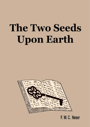# **The Two Seeds Upon Earth**



F. W. C. Neser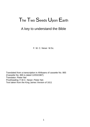# The Two Seeds Upon Earth

# A key to understand the Bible

F. W. C. Neser M.Sc.

Translated from a transcription in Afrikaans of cassette No. 865 (Cassette No. 865 is dated 12/03/1987) Translator: Pieter Nel Proofreading: F.W.C. Neser; Pieter Nel. Text taken from the King James Version of 1611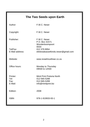| The Two Seeds upon Earth            |                                                                                   |  |
|-------------------------------------|-----------------------------------------------------------------------------------|--|
| Author:                             | F.W.C. Neser                                                                      |  |
| Copyright:                          | F.W.C. Neser                                                                      |  |
| Publisher:                          | F.W.C. Neser<br>P.O. Box 31571<br>Wonderboompoort                                 |  |
| Tel/Fax:<br>E-Mail address:         | 0033<br>012 379 8954<br>ekklesiakassetfonds.neser@gmail.com                       |  |
| Website:                            | www.israelmusthear.co.za                                                          |  |
| Office hours:                       | Monday to Thursday<br>09h00 to 12h00                                              |  |
| Printer:<br>Tel:<br>Fax:<br>E-Mail: | Minit Print Pretoria North<br>012-565-5288<br>012-565-5289<br>info@minitprint.biz |  |
| Edition:                            | 2008                                                                              |  |
| <b>ISBN</b>                         | 978-1-919933-93-1                                                                 |  |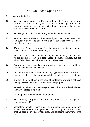# The Two Seeds Upon Earth

#### Read: Matthew 23:23-39.

- 23 Woe unto you, scribes and Pharisees, hypocrites! for ye pay tithe of mint and anise and cummin, and have omitted the weightier *matters* of the law, judgement, mercy, and faith: these ought ye to have done, and not to leave the other undone.
- 24 *Ye* blind guides, which strain at a gnat, and swallow a camel.
- 25 Woe unto you, scribes and Pharisees, hypocrites! for ye make clean the outside of the cup and of the platter, but within they are full of extortion and excess.
- 26 *Thou* blind Pharisee, cleanse first that *which is* within the cup and platter, that the outside of them may be clean also.
- 27 Woe unto you, scribes and Pharisees, hypocrites! for ye are like unto whited sepulchres, which indeed appear beautiful outward, but are within full of dead *men's* bones, and of uncleanness.
- 28 Even so ye also outwardly appear righteous unto men, but within ye are full of hypocrisy and iniquity.
- 29 Woe unto you, scribes and Pharisees, hypocrites! because ye build the tombs of the prophets, and garnish the sepulchres of the righteous,
- 30 and say, If we had been in the days of our fathers, we would not have been partakers with them in the blood of the prophets.
- 31 Wherefore ye be witnesses unto yourselves, that ye are the children of them which killed the prohets.
- 32 Fill ye up then the measure of your fathers.
- 33 *Ye* serpents, *ye* generation of vipers, how can ye escape the damnation of hell?
- 34 Wherefore, behold, I send unto you prophets, and wise men, and scribes: and *some* of them ye shall kill and crucify; and *some* of them shall ye scourge in your synagogues, and persecute them from city to city: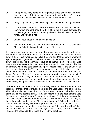- 35 that upon you may come all the righteous blood shed upon the earth, from the blood of righteous Abel unto the blood of Zechari'ah son of Berechi'ah, whom ye slew between the temple and the altar.
- 36 Verily I say unto you, All these things shall come upon this generation.
- 37 O Jerusalem, Jerusalem, *thou* that killest the prophets, and stonest them which are sent unto thee, how often would I have gathered thy children together, even as a hen gathereth her chickens under *her* wings, and ye would not!
- 38 Behold, your house is left unto you desolate.
- 39 For I say unto you, Ye shall not see me henceforth, till ye shall say, Blessed *is* he that cometh in the name of the Lord.

It is very important to bear in mind that Jesus never tried to hurt or run someone down, and therefore a child of God should never run someone else down either. Thus, when Jesus called the Jews and Pharisees with whom He spoke "serpents", "generation of vipers", it was not intended to hurt or run them down - He merely spoke the truth! Jesus called them serpents, vipers because they were a generation that originated from the devil! Here Jesus holds this generation, whom He calls serpents, vipers, responsible for the deaths of all the prophets, Matthew 23:35: "that upon you may come all the righteous blood shed upon the earth, from the blood of righteous Abel unto the blood of Zechari'ah son of Berechi'ah, whom ye slew between the temple and the altar." It would have been very unfair of the Lord Jesus to hold the people of that generation responsible for the death of Abel, who had been slain by Cain about 4000 years previously, if they were not in fact the descendants of Cain.

Therefore, the trail that runs from the beginning, of those that killed the prophets; of those that eventually also killed the Lord Jesus; and of those that killed all the disciples after the Lord Jesus, right through until today; is the same trail of one specific family. They all descend from the seed that the Lord Jesus referred to as "serpents", "generation of vipers". It is a generation that will never repent because they do not have God's seed in them. But they do have the devil's seed in them. This is very important! When the Lord Jesus says in Matthew 23:31, "Wherefore ye be witnesses unto yourselves, that ye are the children of them which killed the prophets", the word "children" does not mean spiritual children. Also not figurative children, but literal children. They are the descendants of those that killed the prophets.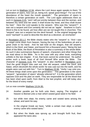Let us turn to Matthew 12:34, where the Lord Jesus again speaks to them: "O generation of vipers, how can ye, being evil, speak good things? For out of the abundance of the heart the mouth speaketh." The generation of vipers is therefore a certain generation on earth. The Lord again addresses them as such in Genesis 3:15, "and I will put enmity between thee and the woman, and between thy seed and her seed; it shall bruise thy head, and thou shalt bruise his heel." Here the Lord speaks to the serpent. Who was this "serpent"? It was not a serpent and Eve certainly did not eat an "apple". Nowhere in God's Word is this to be found, yet how often are we not taught this in churches. This "serpent" was not a serpent but the devil himself. In the original language the word "nachash" is used to describe the devil as a deceiver, an enchanter!

In Revelation 20:1-2, the Bible clearly states who the "serpent" is: "And I saw an angel come down from heaven, having the key of the bottomless pit and a great chain in his hand. And he laid hold on the dragon, that old serpent, which is the Devil, and Satan, and bound him a thousand years," Being the last Book of the Bible, the Book of Revelation is also a summary of the whole Bible. As such it also summarizes figures of speech, characters and other things that we read about in the Bible. As is the case with any other book, everything unfolds in the last chapter. If not, that book cannot be understood. No author writes such a book, least of all God Himself Who wrote the Bible. The character of Genesis 3:15, this "serpent", is also clarified in Revelation 12:9, "And the great dragon was cast out, that old serpent, called the Devil, and Satan, which deceiveth the whole world: he was cast out into the earth, and his angels were cast out with him." Turn to Matthew 23:36, "Verily I say unto you, All these things shall come upon this generation." This generation is the same "serpent", "generation of vipers" already referred to? It is the generation which opposes God and His plan on earth. They are responsible for all the blood that has been shed upon earth, from Abel to the last prophet, and still today also for the blood of every martyr.

Let us now consider Matthew 13:24-30.

- 24 Another parable put he forth unto them, saying, The kingdom of heaven is likened unto a man which sowed good seed in his field:
- 25 but while men slept, his enemy came and sowed tares among the wheat, and went his way.

In the original Greek we have, "*while* a certain man *slept*, a *certain enemy* came who sowed tares."

26 But when the blade was sprung up, and brought forth fruit, then appeared the tares also.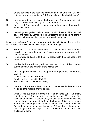- 27 So the servants of the householder came and said unto him, Sir, didst not thou sow good seed in the field? from whence then hath it tares?
- 28 He said unto them, An enemy hath done this. The servant said unto him, Wilt thou then that we go and gather them up?
- 29 But he said, Nay; lest while ye gather up the tares, ye root up also the wheat with them.
- 30 Let both grow together until the harvest: and in the time of harvest I will say to the reapers, Gather ye together first the tares, and bind them in bundles to burn them: but gather the wheat into my barn."

In Matthew 13:36-43, Jesus gave a very important elucidation of this parable to His disciples, which He did not want to give to other people.

- 36 Then Jesus sent the multitude away, and went into the house: and his disciples came unto him, saying, Declare unto us the parable of the tares of the field.
- 37 He answered and said unto them, He that soweth the good seed is the Son of man;
- 38 the field is the world; the good seed are the children of the kingdom; but the tares are the children of the wicked one;

Both groups are people - one group of the Kingdom and the other the Wicked.

Can the devil repent? NEVER!

Can his children repent? NEVER!

This is what we have on earth today.

39 the enemy that soweth them is the devil; the harvest is the end of the world; and the reapers are the angels.

When Jesus put forth the parable, he said in verse 28: "...An enemy hath done this..." But here in the elucidation of verse 39, He says: "the devil has done this!" In other words, the devil transformed himself into human shape. He adopted the form of a human. This is of the utmost importance! All the preachers say that we are in the end of the world. Are we then not in the time of the harvest? Should we not understand these things? But our people do not understand it because it is never explained to them!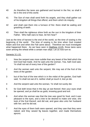- 40 As therefore the tares are gathered and burned in the fire; so shall it be in the end of this world.
- 41 The Son of man shall send forth his angels, and they shall gather out of his kingdom all things that offend, and them which do iniquity;
- 42 and shall cast them into a furnace of fire: there shall be wailing and gnashing of teeth.
- 43 Then shall the righteous shine forth as the sun in the kingdom of their Father. Who hath ears to hear, let him hear?

Just as the time of harvest is the end of the world, so the time of sowing is the beginning of the world. The time of sowing is the time when God created Adam and Eve and when the Fall came about. Therefore we must investigate what happened there. As we have seen in Matthew 13:25, those tares were sown among the wheat while a certain man slept. Let us now turn to:

#### Genesis 3:1-15.

- 1 Now the serpent was more subtile than any beast of the field which the lord God had made. And he said unto the woman, Yea, hath God said, Ye shall not eat of every tree of the garden?
- 2 And the woman said unto the serpent, We may eat of the fruit of the trees of the garden:
- 3 but of the fruit of the tree which *is* in the midst of the garden, God hath said, Ye shall not eat of it, neither shall ye touch it, lest ye die.
- 4 And the serpent said unto the woman, Ye shall not surely die:
- 5 for God doth know that in the day ye eat thereof, then your eyes shall be opened, and ye shall be as gods, knowing good and evil.
- 6 And when the woman saw that the tree *was* good for food, and it *was* pleasant to the eyes, and a tree to be desired to make *one* wise, she took of the fruit thereof, and did eat, and gave also unto her husband with her; and he did eat.
- 7 And the eyes of them both were opened, and they saw that they *were* naked; and they sewed fig leaves together, and made themselves aprons.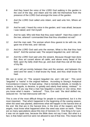- 8 And they heard the voice of the LORD God walking in the garden in the cool of the day: and Adam and his wife hid themselves from the presence of the LORD God amongst the trees of the garden.
- 9 And the LORD God called unto Adam, and said unto him, Where *art* thou?
- 10 And he said, I heard thy voice in the garden, and I was afraid, because I *was* naked; and I hid myself.
- 11 And he said, Who told thee that thou *wast* naked? Hast thou eaten of the tree, whereof I commanded thee that thou shouldest not eat?
- 12 And the man said, The woman whom thou gavest *to be* with me, she gave me of the tree, and I did eat.
- 13 And the LORD God said unto the woman, What is this *that* thou hast done? And the woman said, The serpent beguiled me, and I did eat.
- 14 And the LORD God said unto the serpent, Because though hast done this, thou *art* cursed above all cattle, and above every beast of the field; upon thy belly shalt thou go, and dust shalt thou eat all the days of thy life:
- 15 and I will put enmity between thee and the woman, and between thy seed and her seed; it shall bruise thy head, and thou shall bruise his heel.

We see in verse 13: "The serpent beguiled me, and I did eat." This word "beguiled" is "nasha" in the original Hebrew. According to Strong's Analytical Concordance it means:-"to lead astray - that is mentally to delude, or morally to seduce, to beguile, to deceive, to greatly and utterly lead astray, mislead." In other words, if you say that a man has beguiled a woman or vice versa, then you know what it means - "seduced". Thus, Eve said: "the devil defiled me, seduced me - he had intercourse with me."

This is one of the most difficult things for people to comprehend, but it is the most important. That which happened in the beginning of the sowing season, when the seed was planted, determines what will happen in the harvest time at the end. We that are in the harvest time, in the time of the reapers and the angels, must know what happened when the seed was sown on earth. There are so many speculations about this tree of Genesis 3:3. One thing is for sure: it was not an apple tree, because the Bible does not say it was. But what is a fact, is that Adam and Eve were not allowed to eat of that tree. This means that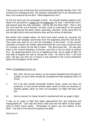if they were to eat of that tree they would directly and literally disobey God. The moment Eve disobeyed God, she became vulnerable first to be deceived and then to be seduced by the devil. What happened to her?

At first the devil was the archangel of God. He himself rebelled against God. Read it for yourselves in Isaiah 14 and Ezekiel 28. He said: "I will be like God, I will ascend upon the holy mountain, I will be like the Most High." That is why the Lord cast him out of heaven. He then came to crawl about on the ground and hence became the devil, Satan, adversary, deceiver. At the same time he lost the light that he had and became dark and the prince of darkness.

But before God created Adam, He knew that Adam would sin, because the omniscient and almighty God knows from the beginning what the end will be. The Lamb was slain for us from the foundation of the world. In the councilchambers of heaven the Father determined that the Lord Jesus would be born of a woman to atone for the fall of Adam. The devil knew this. He was also there in the council-chambers of heaven, and that is why he came to seduce Eve. By appearing before Eve as a magnificent man, as an angel of light, he was able to beguile her and to corrupt her mind. He said to Eve: "I am God and I will give you that son of whom it was decided in the council-chambers before the foundation of the earth."

#### Read: 2 Corinthians 11:3-4, 14.

- 3 But I fear, lest by any means, as the serpent beguiled Eve through his subtilty, so your minds should be corrupted from the simplicity that is in Christ.
- 4 For if he that cometh preacheth another Jesus, whom we have not preached, or *if* ye receive another spirit, which ye have not received, or another gospel, which ye have not accepted, ye might well bear with *him*.
- 14 And no marvel; for Satan himself is transformed into an angel of light.

It was as an angel of light that Satan approached Eve and seduced and impregnated her. Cain was the devil's child and was the father of that Satanseed of which Jesus spoke. "Generation of vipers, you are children of the devil." His trail is to be found throughout the Bible.

Now turn to: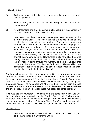# 1 Timothy 2:14-15.

14 And Adam was not deceived, but the woman being deceived was in the transgression.

> Here it clearly states that: "the woman being deceived was in the transgression."

15 Notwithstanding she shall be saved in childbearing, if they continue in faith and charity and holiness with sobriety.

How often has there been erroneous preaching because of this incorrect translation? The battle against evil spirits in the air and blinding is more actual than we realise. Could people who study Hebrew and Greek at universities not have realised this long ago? Do you realise what is written here? A woman who never marries and who does not give birth to children cannot be saved! This is a deduction that can be made, because it says here that a woman can only be saved by giving birth to children. But this cannot be. In the original it says here, as in the New English Bible: "she shall be saved through the Birth of the Child." Which child? The Lord Jesus! Just as the first real sin came through the woman, so also the Saviour shall come from the woman! This is what God said! In The Amplified New Testament it reads: "She shall be saved indeed through the childbearing that is by the birth of the divine Child."

So the devil comes and tries to outmanoeuvre God as he always tries to do, and he says to Eve: "I am God and I have come to give you that child." After the devil had intercourse with Eve, she "gave of the tree" also to Adam to eat. Then Adam also had intercourse with Eve. She was thus impregnated by both Satan and Adam. The twins Cain and Abel were born, the first from the seed of Satan and the latter from the seed of Adam, the son of God! **Here we have the two seeds**. The battle between these two seeds still continues today!

Cain was the first murderer. How could he have come from Adam and Eve, both of whom were created pure by God? Really, their firstborn was a murderer! Where did he get this from? He got it from his father, who himself is a murderer. Jesus said so. Cain slew Abel. The God-seed was now also dead. What was to happen next? We shall get to this later. First turn to:

#### Genesis 4:1-2.

1 And Adam knew Eve his wife; and she conceived, and bare Cain, and said, I have gotten a man from the LORD.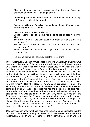She thought that Cain was begotten of God, because Satan had pretended to be the LORD, an angel of light.

2 And she again bare his brother Abel. And Abel was a keeper of sheep, but Cain was a tiller of the ground.

> According to Strong's Analytical Concordance, the word "again" means to add, augment or to continue.

Let us also look at a few translations:

Young's Literal Translation says: "and she **added** to bear his brother Abel."

The Ferror Fenton Translation says: "she afterwards gave birth to his brother Abel."

The old Dutch Translation says: "en zy voer voort te baren zynen broeder Habel."

Young's Analytical Concordance says: "Abel, apparently the twin brother of Cain."

From all of this we can conclude that they were twins.

In the Apochryphal Book of James called the "Proto Evangelium of James", we read about the history of the birth of our Lord Jesus through Mary on page 381, where Mary was in her sixth month of pregnancy. "Now when she was in her sixth month Joseph returned from his building, entered his house and found her with child, and he smote his face, threw himself down on sack cloth, and wept bitterly, saying: 'With what countenance shall I look toward the Lord, my God? What prayer shall I offer for her, for this maiden? For I received her as a virgin, out of the Temple of the Lord my God, and I have not protected her. Who has deceived me? Who has done this evil in my house, and defiled her, the virgin? **Has the story of Adam been repeated in me?** (My emphasis). For as Adam was absent in the hour of his prayer, and the serpent came and found Eve alone, and deceived her and defiled her, so also has it happened to me.' And Joseph arose from the sack cloth and called Mary, and said to her: 'You who are cared for by God, why have you done this and forgotten the Lord your God? Why have you humiliated your soul? You who are brought up in the Holy of Holies, and received food from an angel?' But she wept bitterly saying: 'I am pure, and know not a man.' And Joseph said to her: 'Whence is this then in your womb?' And she said: 'as the Lord my God lives, I do not know whence it has come to me.'"

Obviously Joseph knew what had happened to Eve, and he suspected that the devil also did the same to Mary. In the Book of Jude reference is made to the Apochryphal Book of Enoch. Therefore, the Apochryphal Book of Enoch is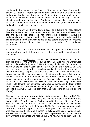confirmed in that respect by the Bible. In "The Secrets of Enoch", we read in chapter 31, page 93: "Adam has life on earth, and I created a garden in Eden in the east, that he should observe the Testament and keep the Command. I made the heavens open to him, that he should see the angels singing the song of victory, and the gloomless light. And he was continuously in paradise, and the devil understood that I wanted to create another world, because Adam was lord on the earth to rule and control it.

The devil is the evil spirit of the lower places: as a fugitive he made Sotona from the heavens, as his name was Satanail: thus he became different from the angels, but his nature did not change his intelligence about his understanding of righteous and sinful things. And he understood his condemnation and the sin which he had sinned before; therefore he conceived thought against Adam. In such form he entered and seduced Eve, but did not touch Adam."

We have now seen from both the Bible and the Apochrypha how Cain and Abel were born, and that Cain was a child of the devil and the forefather of the Satan-seed!

Now take note of 1 John 3:12. "Not as Cain, *who* was of that wicked one, and slew his brother. And wherefore slew he him? Because his own works were evil, and his brother's righteous." Here John says it himself. For three and a half years the disciples of Jesus sat at His feet. John says in John 21:25, "And there are also many other things which Jesus did, the which, if they should be written every one, I suppose that even the world itself could not contain the books that should be written. Amen." In other words, how infinitely more miracles did Jesus perform than those which are described in the Bible? Only enough is written to inform us about it. One can only speculate about how much Jesus discussed with his disciples; how much He taught them; how much He told them! I am convinced in my deepest being, and the Spirit of God bears witness, that He told them all these things. That is why you should read your Bible carefully. We see then that Cain was born of the wicked one (Satan).

Now we come to the meaning of Adam. Adam means "to blush, ruddy". This means that Adam was a white man, and we know Adam was created in the image of God. Therefore, where God appeared in the flesh of the Lord Jesus, He was also white! Jesus was also a white man! He belonged to a white race. He was the son of David. In 1 Samuel 17:42, David is described as a youth, and ruddy, when he opposed Goliath. Have you ever seen a black person who becomes ruddy when he blushes? Blacks cannot blush - Whites blush. We are thus Adamites. This is of the utmost importance! No wonder that the devil wants to exterminate and wipe us out. And how will he do this? Either by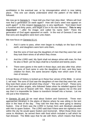annihilation in the eventual war, or by miscegenation which is now taking place. This one can clearly understand when the pattern of the Bible is followed.

We now go to Genesis 5. I have told you that Cain slew Abel. Where will God now find a generation on earth again? How will God's seed now appear on earth again? In this respect Genesis 5:3, is very significant. "And Adam lived a hundred and thirty years, and begat *a son* in his own likeness," **This is very important!** "...after his image; and called his name Seth:" There the generation of God again appeared on earth. In the rest of Genesis 5 we see that sons and daughters were born unto Adam.

We now focus on Genesis 6:1-4.

- 1 And it came to pass, when men began to multiply on the face of the earth, and daughters were born unto them,
- 2 that the sons of God saw the daughters of men that they *were* fair; and they took them wives of all which they chose.
- 3 And the LORD said, My Spirit shall not always strive with man, for that he also *is* flesh: yet his days shall be a hundred and twenty years.
- 4 There were giants in the earth in those days; and also after that, when the sons of God came in unto the daughters of men, and they bare *children* for them, the same *became* mighty men which *were* of old, men of renown.

A huge library of history is locked up in these four verses of the Bible. In verse 2, we read: "the sons of God saw the daughters of men that they *were* fair, and they took them wives of all which they chose" - "the sons of God". These sons of God were fallen angels, who followed Satan when he rebelled against God and were cast out of heaven with him. Many people oppose me on this and say that it is impossible for Satan to transform himself into a human. Let me cite just a few instances.

In Genesis 18 and 19 we read about Sodom and Gomorrah. Three men approached Abraham in the plains of Mamre where he was sitting in the tent door in the heat of the day. They told him that they were going to destroy Sodom. One of them was the LORD in human form and Abraham pleaded with Him to spare Sodom. The LORD said that if there were ten righteous men within the city He would spare Sodom and Gomorrah. When those three men came to Abraham, he served them with food which included a calf which he had dressed. The Bible says that he ate with them, which means that those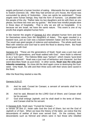angels performed a human function of eating. Afterwards the two angels went to Sodom (Genesis 19). After they had arrived at Lot's house, the house was surrounded by plenty of Sodomites. How can spirits be sodomised? Those angels were human beings; they had the form of humans. Lot pleaded with the people of the city: "Rather take my two daughters and do with them as you please, but these two men are my guests." We know how mindful people were in those days of hospitality. That is why we are still so hospitable. It is because we are Israel, we have the same nature. This event is one of my proofs that angels adopted human form.

In like manner the angels of Genesis 6:2 also adopted human form and took for themselves wives from the daughters of Adam. This again resulted in a bastard race, just as Cain was a bastard between Satan and the human Eve. The result was giant people of violence and wickedness. The whole earth was filled with violence and God had to send the flood to destroy them. But Noah found grace with God.

Genesis 6:9. "These *are* the generations of Noah: Noah was a just man *and* perfect in his generations, *and* Noah walked with God." Here Noah is referred to as a "just man". The Hebrew Bible says "tamiym", which means "pure-bred or without blemish". Noah was a just man of behaviour and character, but that word describes Noah as pure-bred. In other words, **Noah was the only pure Adamite remaining**. So close did the devil again come to destroying the Godseed. Only Noah, his wife and their three sons with their wives were saved in the flood.

After the flood they started a new life.

#### Genesis 9:25-27.

- 25 And he said, Cursed *be* Canaan; a servant of servants shall he be unto his brethren.
- 26 And he said, Blessed *be* the LORD God of Shem; and Canaan shall be his servant.
- 27 God shall enlarge Japheth, and he shall dwell in the tents of Shem; and Canaan shall be his servant.

In Genesis 9:25, Noah says: "Cursed *be* Canaan..."

In verses 26 and 27, Noah calls God the God of Shem, but not the God of Japheth or of Ham. When we trace the history of the latter, we notice that the descendants of neither of them ever served God. On the contrary, their descendants such as Nimrod and others were in fact those who rebelled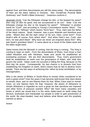against God, and their descendants are still the same today. The descendants of Ham are the black nations in Genesis. See "Zondervan Pictorial Bible Dictionary" and "Smith's Bible Dictionary". Gesenius confirms it.

Jeremiah 13:23. "Can the Ethiopian change his skin, or the leopard his spots? *then* may ye also do good, that are accustomed to do evil." Note: "Can the Ethiopian change his skin or the leopard his spots?" "Ethiopian" is another name for "Cush", and according to Young's Concordance means "black". The Greek word is "Aithiops" which means "burnt face". Thus, Ham was the father of the black nations. Noah, however, was a pure Adamite and therefore pure white. Where then did the dark colour of his son, Ham, come from? From Noah's wife of course, from where else? And when Ham's son, Cush, was born, he was pitch-black! Why have we never yet enquired about this? Why was Noah's grandson black? It came about as a result of the Satan-seed and the fallen angel-seed.

Satan knows that the Messiah is coming, that the King is coming. The King is coming to reign on earth. From the descendants of Shem, God chose a man called Abraham and with Abraham, Isaac and Jacob He established an everlasting covenant. We are their descendants. Thus, God's government shall be established on earth over the generations of Adam, who shall also govern the world. Satan could not succeed in killing the King, because on the third day He arose. Consequently, his last chance is to prevent God from establishing His Kingdom on earth, which means that he has to destroy God's people. There are two ways of achieving this: either by brute annihilation, or by miscegenation.

Why is the desire of Whites in South-Africa to remain white considered to be such a great crime? Over the years it has become well-known that Jews desire to remain Jews, and no one blames them for that. When Zulus want to remain Zulus, no one blames them for that. However, the desire of Afrikaners to remain Afrikaners is regarded as such a great sin that sanctions are imposed and other forms of pressure exerted. Why? We have many cassettes and books in which we reveal that it is the same Satan-seed on earth today that deceive, brainwash and manipulate our people in order to gain possession of the world. Be clear-headed, read and believe what Moses and the prophets warned us about.

Amen!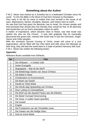# **Something about the Author**

F.W.C. Neser was trained as a Scientist but is a dedicated Christian since his youth. To him the Bible is the Word of God from Genesis to Revelation.

Very early in his life he came to realise that man himself is the cause of all wars, depressions, famine, droughts, disease, and misery here on earth.

He saw that God had given his absolute Law to Israel, his chosen people and had promised that should they live thereby they would be free of all adversity and would then act as God's exemplary nation on earth.

A matter of importance, which became clear to Neser, was that Israel was neither the Jew nor the Church. It was with gratitude that he eventually discovered the great truth, namely that Israel was in fact the Germanic, Anglo-Saxon and Celtic peoples.

With the imminent Second Coming of Christ, Israel will come to a true regeneration, will be filled with the Holy Spirit and with Jesus the Messiah as their King, they will lead the world back to a state of perfect harmony with God. F.W.C. Neser has written the following books:

# **Appendix:**

Afrikaans Books available from Ekklesia.

| <b>No</b> | Title                                             |
|-----------|---------------------------------------------------|
| 1         | Die Afrikaner -- 'n Unieke Volk                   |
| 2         | Ander Evangelie                                   |
| 3         | Segregasie -- Wat sê die Skrif?                   |
| 4         | Die Bedienings Gawes van Jesus Christus           |
| 5         | Die Bybel is Waar                                 |
| 6         | Christendom en Kommunisme                         |
| 7         | Die Boek van Daniël                               |
| 8         | Daniël se 70ste Week                              |
| 9         | Die Derde dag Opstanding van Christus             |
| 10        | Deur Lyding na Volmaaktheid                       |
| 11        | Die Brief van die Apostel Paulus aan die Efésiërs |
| 12        | Die Bybel Voorspel Atoomoorlog                    |
| 13        | Die Doop, in watter Naam (pamflet)                |
| 14        | Die Duiwel                                        |
| 15        | Engele                                            |
| 16        | Die Fondament van die Christelike Lewe            |
| 17        | Die Gawes van die Heilige Gees                    |
| 18        | God se Groot Week                                 |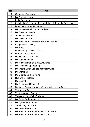| No | <b>Title</b>                                                 |
|----|--------------------------------------------------------------|
| 19 | Goddelike Genesing                                           |
| 20 | Die Profeet Hoséa                                            |
| 21 | In die Oppersaal                                             |
| 22 | Insig in die Verlede en die Hede bring Uitsig op die Toekoms |
| 23 | <b>Israel in die Nuwe Testament</b>                          |
| 24 | Die Israelwaarheid - TV Onderhoud                            |
| 25 | Die Boek van Jesaja                                          |
| 26 | Jesus van Nasaret                                            |
| 27 | Die Boek van Joël                                            |
| 28 | Die Kerk van Rome en die Mens van Sonde                      |
| 29 | Krag van die dwaling                                         |
| 30 | Die Kruis                                                    |
| 31 | Moses en sy "Kusitiese" Vrou                                 |
| 32 | Mure van Jerusalem                                           |
| 33 | Na die Dood - Wat Dan?                                       |
| 34 | Die Name van God                                             |
| 35 | Die Nuwe Hemel en die Nuwe Aarde                             |
| 36 | Die Boek van Openbaring                                      |
| 37 | Die Openbaringe van die Apostel Paulus                       |
| 38 | Die Opraping                                                 |
| 39 | Die Brief aan die Romeine                                    |
| 40 | <b>Rusland in Profesie</b>                                   |
| 41 | Die Sabbat                                                   |
| 42 | Die Slang van Génesis 3                                      |
| 43 | Sommige Aspekte van die Werk van die Heilige Gees            |
| 44 | Tempel van God                                               |
| 45 | Terwille van die Engele                                      |
| 46 | Troos troos my Volk sê julle God                             |
| 47 | Die Twee Sade op Aarde.                                      |
| 48 | Die Tyd van die Heiden                                       |
| 49 | Verblinding van Sinne                                        |
| 50 | Die Groot Verdrukking                                        |
| 51 | Die Verlore Tien Stamme van Israel Deel 1                    |
| 52 | Die Verlore Tien Stamme van Israel                           |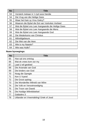| <b>No</b> | Title                                             |
|-----------|---------------------------------------------------|
| 53        | Versterk mekaar in 'n tyd soos hierdie            |
| 54        | Die Vrug van die Heilige Gees                     |
| 55        | Waar het Kain sy Vrou Gekry?                      |
| 56        | Waarom die Bybel die Eet van Varkvleis Verbied    |
| 57        | Wat die Bybel ons Leer Aangaande die Heilige Gees |
| 58        | Wat die Bybel ons Leer Aangaande die Mens         |
| 59        | Wat die Bybel ons Leer Aangaande God              |
| 60        | Die Wederkoms van Christus                        |
| 61        | Wêreldgebeure                                     |
| 62        | Die Wet van die Here                              |
| 63        | Wie is my Naaste?                                 |
| 64        | Wie was Hulle?                                    |

# **Nuwe byvoegings:**

| <b>No</b> | Title                                   |
|-----------|-----------------------------------------|
| 65        | Hoe sal ons ontvlug                     |
| 66        | Wat ek vrees kom oor my                 |
| 67        | Laat U wil geskied                      |
| 68        | Die Arsenale van God                    |
| 69        | Die kinders van God                     |
| 70        | Noag die Opregte                        |
| 71        | Ken U Vyand                             |
| 72        | Die Groot opdrag                        |
| 73        | Die Wonderlike Wêreld van Môre          |
| 74        | Die Volk en Verootmoediging             |
| 75        | Die Troon van Dawid                     |
| 76        | Die Huidige Wêreldstelsel               |
| 77        | Galásiërs 3                             |
| 78        | Uitlander en Vreemdeling/ Griek of Jood |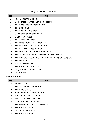# **English Books available**

| <b>No</b>      | Title                                                         |
|----------------|---------------------------------------------------------------|
| 1              | After Death What Then?                                        |
| 2              | Segregation - What saith the Scripture?                       |
| 3              | The Bible Predicts "Atomic War"                               |
| 4              | The Book of Joel                                              |
| 5              | The Book of Revelation                                        |
| 6              | Christianity and Communism                                    |
| $\overline{7}$ | Daniel's 70 <sup>th</sup> week                                |
| 8              | The Great Tribulation                                         |
| 9              | The Israel Truth T.V. Interview                               |
| 10             | The Lost Ten Tribes of Israel Part 1                          |
| 11             | The Lost Ten Tribes of Israel                                 |
| 12             | The New Heavens and the New Earth                             |
| 13             | The Origin, History and Destiny of the White Race             |
| 14             | The Past the Present and the Future in the Light of Scripture |
| 15             | The Rapture                                                   |
| 16             | Russia in Prophecy                                            |
| 17             | The Serpent of Genesis 3                                      |
| 18             | Why the Bible Prohibits Pork                                  |
| 19             | <b>World Affairs</b>                                          |

# **New Additions:**

| <b>No</b> | <b>Title</b>                    |
|-----------|---------------------------------|
| 20        | Sons of God                     |
| 21        | The Two Seeds Upon Earth        |
| 22        | The Bible is True               |
| 23        | Noah the Man Without Blemish    |
| 24        | Israel in the New Testament     |
| 25        | Moses and his Cushite wife      |
| 26        | Unpublished writings 1953       |
| 27        | The Wonderful World of Tomorrow |
| 28        | The Book of Isaiah              |
| 29        | Who is Thy Neighbour?           |
| 30        | The Book of Romans              |